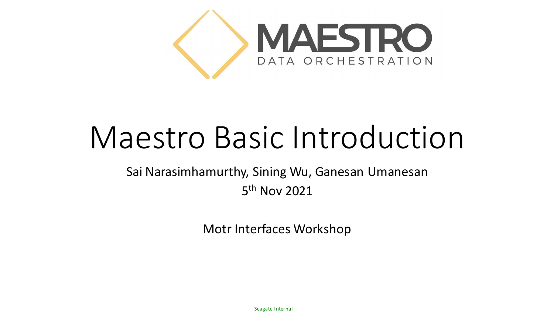

## Maestro Basic Introduction

Sai Narasimhamurthy, Sining Wu, Ganesan Umanesan 5 th Nov 2021

Motr Interfaces Workshop

Seagate Internal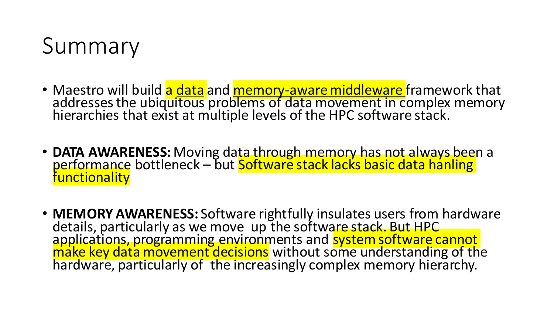

- Maestro will build <mark>a <u>data</u> and <mark>memory-aware middleware</mark> framework that</mark> addresses the ubiquitous problems of data movement in complex memory hierarchies that exist at multiple levels of the HPC software stack.
- **DATA AWARENESS:** Moving data through memory has not always been a performance bottleneck – but <mark>Software stack lacks basic data hanling</mark> **functionality**
- **MEMORY AWARENESS:** Software rightfully insulates users from hardware details, particularly as we move up the software stack. But HPC applications, programming environments and system software cannot make key data movement decisions without some understanding of the hardware, particularly of the increasingly complex memory hierarchy.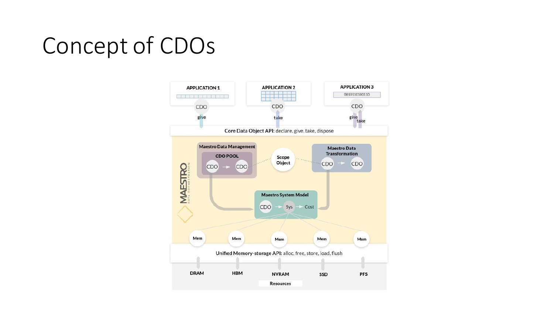## Concept of CDOs